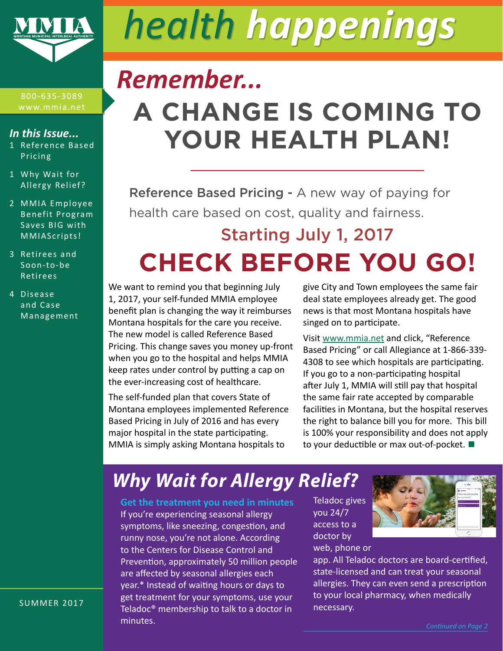

# *health happenings*

#### 800-635-3089 www.mmia.net

#### *In this Issue...*

- 1 Reference Based Pricing
- 1 Why Wait for Allergy Relief?
- 2 [MMIA Employee](#page-1-0)  [Benefit Program](#page-1-0)  [Saves BIG with](#page-1-0)  [MMIAScripts!](#page-1-0)
- 3 [Retirees and](#page-2-0)  [Soon-to-be](#page-2-0)  [Retirees](#page-2-0)
- 4 [Disease](#page-3-0)  [and Case](#page-3-0)  [Management](#page-3-0)

# **A CHANGE IS COMING TO Reference Based Pricing YOUR HEALTH PLAN! A CHANGE IS COMING TO YOUR HEALTH PLAN!** *Remember...*

Reference Based Pricing - A new way of paying for here care based on cost, quality and fairness. Reference Based Pricing - A new way of paying for health care based on cost, quality and fairness.

# Starting July 1, 2017 **CHECK BEFORE YOU GO!**  $\frac{3}{4}$   $\frac{3}{4}$   $\frac{3}{4}$   $\frac{3}{4}$   $\frac{3}{4}$   $\frac{3}{4}$   $\frac{3}{4}$   $\frac{3}{4}$   $\frac{3}{4}$   $\frac{3}{4}$   $\frac{3}{4}$   $\frac{3}{4}$   $\frac{3}{4}$   $\frac{3}{4}$   $\frac{3}{4}$   $\frac{3}{4}$   $\frac{3}{4}$   $\frac{3}{4}$   $\frac{3}{4}$   $\frac{3}{4}$   $\frac{3}{4}$   $\frac{3}{4}$  **CHECK BEFORE YOU GO!!**

Most Montana hospitals are participating, but using a non-

Montana hospitals for the care you receive. **Indemoky** singed on to participate. Pricing. This change saves you money up-front Based Pricing" or call A We want to remind you that beginning July 1, 2017, your self-funded MMIA employee benefit plan is changing the way it reimburses The new model is called Reference Based when you go to the hospital and helps MMIA keep rates under control by putting a cap on the ever-increasing cost of healthcare.

**Learning** boot of indentified<br>Modified and that coveres St Montana employees implemented Reference The self-funded plan that covers State of Based Pricing in July of 2016 and has every major hospital in the state participating. MMIA is simply asking Montana hospitals to

is changing the way it reimburses news is that most Montana hospitals have give City and Town employees the same fair deal state employees already get. The good singed on to participate.

Called Reference Based **Visit** <u>www.mmia.net</u> and click, "Reference e hospital and helps MMIA 4308 to see which hospitals are participating.<br>entual humitties a see an ontrol by putting a cap on lif you go to a non-participating hospital Based Pricing" or call Allegiance at 1-866-339 after July 1, MMIA will still pay that hospital the same fair rate accepted by comparable facilities in Montana, but the hospital reserves the right to balance bill you for more. This bill is 100% your responsibility and does not apply to your deductible or max out-of-pocket. **■**

#### hy Wait for Alleray Relief?  $\Box$  factor  $\Box$ Most Montana hospitals are participating, but using a non-**Why Wait for Allergy Relief?** Why Wait for Allergy Relief?

you're experiencing seasonal allergy would be approach to a little seasonal allergy  $\frac{1}{2}$  of the treatment you heed in minutes are clusted given the transmission of the seasonal allergy  $\frac{1}{2}$  you 24/7 symptoms, like sneezing, congestion, and  $\begin{array}{ccc} \text{access to a} & \bullet \\ \text{measured} & \bullet \end{array}$ runny nose, you're not alone. According to the Centers for Disease Control and Prevention, approximately 50 million people are affected by seasonal allergies each year.\* Instead of waiting hours or days to get treatment for your symptoms, use your Teladoc® membership to talk to a doctor in minutes.

Teladoc gives you 24/7 access to a doctor by web, phone or



app. All Teladoc doctors are board-certified, state-licensed and can treat your seasonal allergies. They can even send a prescription to your local pharmacy, when medically necessary.

SUMMER 2017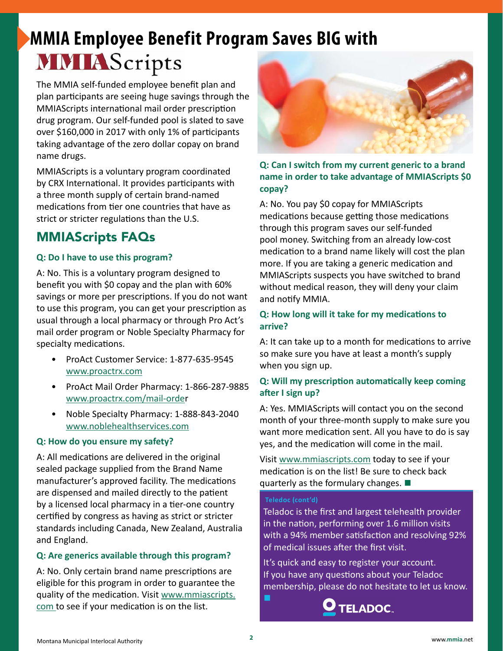# <span id="page-1-0"></span>**MMIA Employee Benefit Program Saves BIG with MMIA** Scripts

The MMIA self-funded employee benefit plan and plan participants are seeing huge savings through the MMIAScripts international mail order prescription drug program. Our self-funded pool is slated to save over \$160,000 in 2017 with only 1% of participants taking advantage of the zero dollar copay on brand name drugs.

MMIAScripts is a voluntary program coordinated by CRX International. It provides participants with a three month supply of certain brand-named medications from tier one countries that have as strict or stricter regulations than the U.S.

# MMIAScripts FAQs

#### **Q: Do I have to use this program?**

A: No. This is a voluntary program designed to benefit you with \$0 copay and the plan with 60% savings or more per prescriptions. If you do not want to use this program, you can get your prescription as usual through a local pharmacy or through Pro Act's mail order program or Noble Specialty Pharmacy for specialty medications.

- ProAct Customer Service: 1-877-635-9545 [www.proactrx.com](http://www.proactrx.com)
- ProAct Mail Order Pharmacy: 1-866-287-9885 [www.proactrx.com/mail-orde](http://www.proactrx.com/mail-orde)r
- Noble Specialty Pharmacy: 1-888-843-2040 [www.noblehealthservices.com](http://www.noblehealthservices.com)

#### **Q: How do you ensure my safety?**

A: All medications are delivered in the original sealed package supplied from the Brand Name manufacturer's approved facility. The medications are dispensed and mailed directly to the patient by a licensed local pharmacy in a tier-one country certified by congress as having as strict or stricter standards including Canada, New Zealand, Australia and England.

#### **Q: Are generics available through this program?**

A: No. Only certain brand name prescriptions are eligible for this program in order to guarantee the quality of the medication. Visit [www.mmiascripts.](http://www.mmiascripts.com ) [com](http://www.mmiascripts.com ) to see if your medication is on the list.



**Q: Can I switch from my current generic to a brand name in order to take advantage of MMIAScripts \$0 copay?**

A: No. You pay \$0 copay for MMIAScripts medications because getting those medications through this program saves our self-funded pool money. Switching from an already low-cost medication to a brand name likely will cost the plan more. If you are taking a generic medication and MMIAScripts suspects you have switched to brand without medical reason, they will deny your claim and notify MMIA.

#### **Q: How long will it take for my medications to arrive?**

A: It can take up to a month for medications to arrive so make sure you have at least a month's supply when you sign up.

#### **Q: Will my prescription automatically keep coming after I sign up?**

A: Yes. MMIAScripts will contact you on the second month of your three-month supply to make sure you want more medication sent. All you have to do is say yes, and the medication will come in the mail.

Visit [www.mmiascripts.com](http://www.mmiascripts.com) today to see if your medication is on the list! Be sure to check back quarterly as the formulary changes. **■**

#### **Teledoc (cont'd)**

Teladoc is the first and largest telehealth provider in the nation, performing over 1.6 million visits with a 94% member satisfaction and resolving 92% of medical issues after the first visit.

It's quick and easy to register your account. If you have any questions about your Teladoc membership, please do not hesitate to let us know. **■**

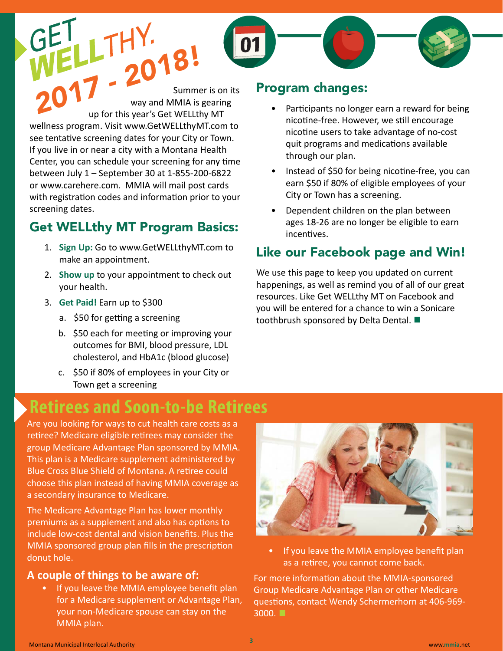<span id="page-2-0"></span>Summer is on its way and MMIA is gearing up for this year's Get WELLthy MT wellness program. Visit www.GetWELLthyMT.com to see tentative screening dates for your City or Town. If you live in or near a city with a Montana Health Center, you can schedule your screening for any time between July 1 – September 30 at 1-855-200-6822 or www.carehere.com. MMIA will mail post cards with registration codes and information prior to your screening dates. *2017 - 2018!*

# Get WELLthy MT Program Basics:

- 1. **Sign Up:** Go to www.GetWELLthyMT.com to make an appointment.
- 2. **Show up** to your appointment to check out your health.
- 3. **Get Paid!** Earn up to \$300
	- a. \$50 for getting a screening
	- b. \$50 each for meeting or improving your outcomes for BMI, blood pressure, LDL cholesterol, and HbA1c (blood glucose)
	- c. \$50 if 80% of employees in your City or Town get a screening

### Program changes:

- Participants no longer earn a reward for being nicotine-free. However, we still encourage nicotine users to take advantage of no-cost quit programs and medications available through our plan.
- Instead of \$50 for being nicotine-free, you can earn \$50 if 80% of eligible employees of your City or Town has a screening.
- Dependent children on the plan between ages 18-26 are no longer be eligible to earn incentives.

# Like our Facebook page and Win!

We use this page to keep you updated on current happenings, as well as remind you of all of our great resources. Like Get WELLthy MT on Facebook and you will be entered for a chance to win a Sonicare toothbrush sponsored by Delta Dental. **■**

# **Retirees and Soon-to-be Retirees**

Are you looking for ways to cut health care costs as a retiree? Medicare eligible retirees may consider the group Medicare Advantage Plan sponsored by MMIA. This plan is a Medicare supplement administered by Blue Cross Blue Shield of Montana. A retiree could choose this plan instead of having MMIA coverage as a secondary insurance to Medicare.

The Medicare Advantage Plan has lower monthly premiums as a supplement and also has options to include low-cost dental and vision benefits. Plus the MMIA sponsored group plan fills in the prescription donut hole.

#### **A couple of things to be aware of:**

• If you leave the MMIA employee benefit plan for a Medicare supplement or Advantage Plan, your non-Medicare spouse can stay on the MMIA plan.



If you leave the MMIA employee benefit plan as a retiree, you cannot come back.

For more information about the MMIA-sponsored Group Medicare Advantage Plan or other Medicare questions, contact Wendy Schermerhorn at 406-969- 3000. **■**